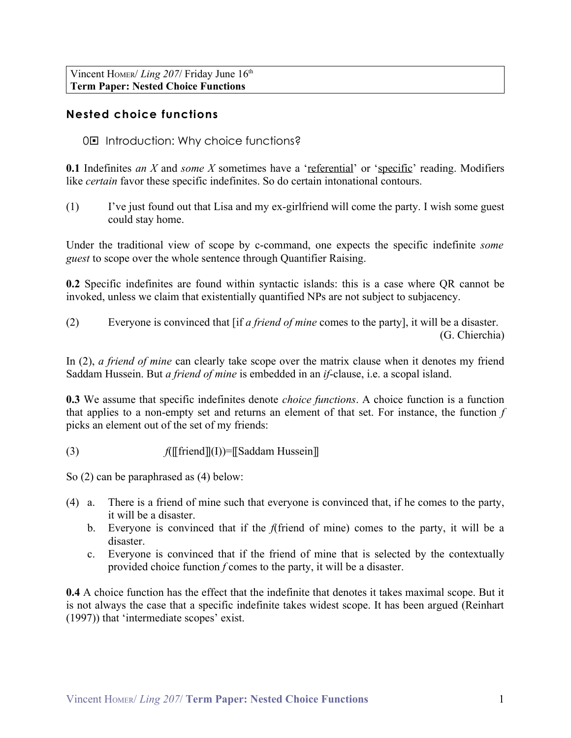Vincent HOMER/ Ling 207/ Friday June 16<sup>th</sup> **Term Paper: Nested Choice Functions** 

## **Nested choice functions**

0□ Introduction: Why choice functions?

**0.1** Indefinites an X and some X sometimes have a 'referential' or 'specific' reading. Modifiers like *certain* favor these specific indefinites. So do certain intonational contours.

 $(1)$ I've just found out that Lisa and my ex-girlfriend will come the party. I wish some guest could stay home.

Under the traditional view of scope by c-command, one expects the specific indefinite some *guest* to scope over the whole sentence through Quantifier Raising.

0.2 Specific indefinites are found within syntactic islands: this is a case where QR cannot be invoked, unless we claim that existentially quantified NPs are not subject to subjacency.

<span id="page-0-0"></span> $(2)$ Everyone is convinced that [if *a friend of mine* comes to the party], it will be a disaster. (G. Chierchia)

In (2), a friend of mine can clearly take scope over the matrix clause when it denotes my friend Saddam Hussein. But *a friend of mine* is embedded in an *if*-clause, i.e. a scopal island.

0.3 We assume that specific indefinites denote *choice functions*. A choice function is a function that applies to a non-empty set and returns an element of that set. For instance, the function  $f$ picks an element out of the set of my friends:

 $(3)$  $f(\lceil \text{friend} \rceil(\lceil \text{I} \rceil) = \lceil \text{Saddam Hussein} \rceil$ 

So  $(2)$  can be paraphrased as  $(4)$  below:

- <span id="page-0-1"></span>(4) a. There is a friend of mine such that everyone is convinced that, if he comes to the party, it will be a disaster.
	- b. Everyone is convinced that if the  $f$  (friend of mine) comes to the party, it will be a disaster.
	- c. Everyone is convinced that if the friend of mine that is selected by the contextually provided choice function f comes to the party, it will be a disaster.

**0.4** A choice function has the effect that the indefinite that denotes it takes maximal scope. But it is not always the case that a specific indefinite takes widest scope. It has been argued (Reinhart (1997)) that 'intermediate scopes' exist.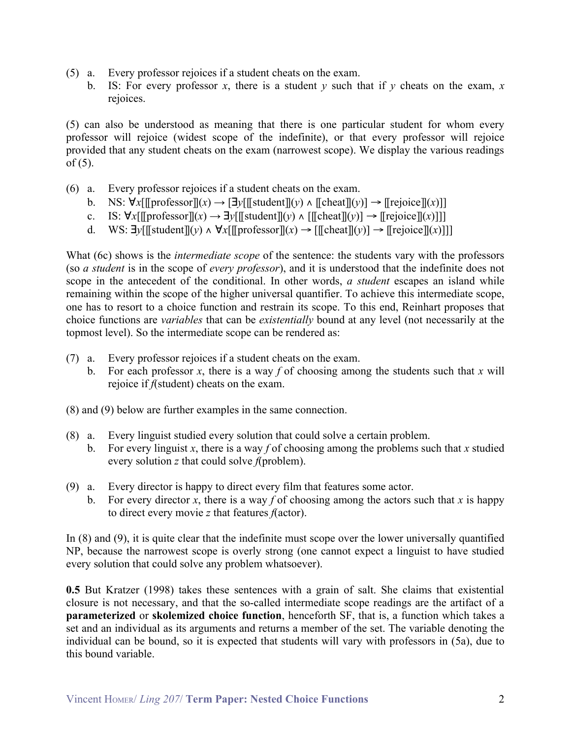- <span id="page-1-1"></span> $(5)$  a. Every professor rejoices if a student cheats on the exam.
	- IS: For every professor x, there is a student y such that if y cheats on the exam, x  $b_{1}$ rejoices.

(5) can also be understood as meaning that there is one particular student for whom every professor will rejoice (widest scope of the indefinite), or that every professor will rejoice provided that any student cheats on the exam (narrowest scope). We display the various readings of  $(5)$ .

- <span id="page-1-0"></span> $(6)$  a. Every professor rejoices if a student cheats on the exam.
	- b. NS:  $\forall x$ [[professor]](x)  $\rightarrow$  [ $\exists y$ [[[student]](y)  $\land$  [[cheat]](y)]  $\rightarrow$  [[rejoice]](x)]]
	- IS:  $\forall x[\text{[professor]}](x) \rightarrow \exists y[\text{[Student]}](y) \land [\text{[cheat]}](y)] \rightarrow [\text{rejoice}](x)]$  $c_{\cdot}$
	- WS:  $\exists y$ [[student]](y)  $\land \forall x$ [[[professor]](x)  $\rightarrow$  [[[cheat]](y)]  $\rightarrow$  [[rejoice]](x)]]]  $d_{\cdot}$

What (6c) shows is the *intermediate scope* of the sentence: the students vary with the professors (so *a student* is in the scope of *every professor*), and it is understood that the indefinite does not scope in the antecedent of the conditional. In other words, a student escapes an island while remaining within the scope of the higher universal quantifier. To achieve this intermediate scope, one has to resort to a choice function and restrain its scope. To this end, Reinhart proposes that choice functions are *variables* that can be *existentially* bound at any level (not necessarily at the topmost level). So the intermediate scope can be rendered as:

- $(7)$  a. Every professor rejoices if a student cheats on the exam.
	- b. For each professor x, there is a way f of choosing among the students such that x will rejoice if  $f$ (student) cheats on the exam.

 $(8)$  and  $(9)$  below are further examples in the same connection.

- <span id="page-1-3"></span> $(8)$  a. Every linguist studied every solution that could solve a certain problem.
	- b. For every linguist x, there is a way f of choosing among the problems such that x studied every solution  $z$  that could solve  $f$ (problem).
- <span id="page-1-2"></span>Every director is happy to direct every film that features some actor.  $(9)$  a.
	- For every director x, there is a way f of choosing among the actors such that x is happy  $h$ to direct every movie z that features  $f(\text{actor})$ .

In  $(8)$  and  $(9)$ , it is quite clear that the indefinite must scope over the lower universally quantified NP, because the narrowest scope is overly strong (one cannot expect a linguist to have studied every solution that could solve any problem whatsoever).

0.5 But Kratzer (1998) takes these sentences with a grain of salt. She claims that existential closure is not necessary, and that the so-called intermediate scope readings are the artifact of a parameterized or skolemized choice function, henceforth SF, that is, a function which takes a set and an individual as its arguments and returns a member of the set. The variable denoting the individual can be bound, so it is expected that students will vary with professors in (5a), due to this bound variable.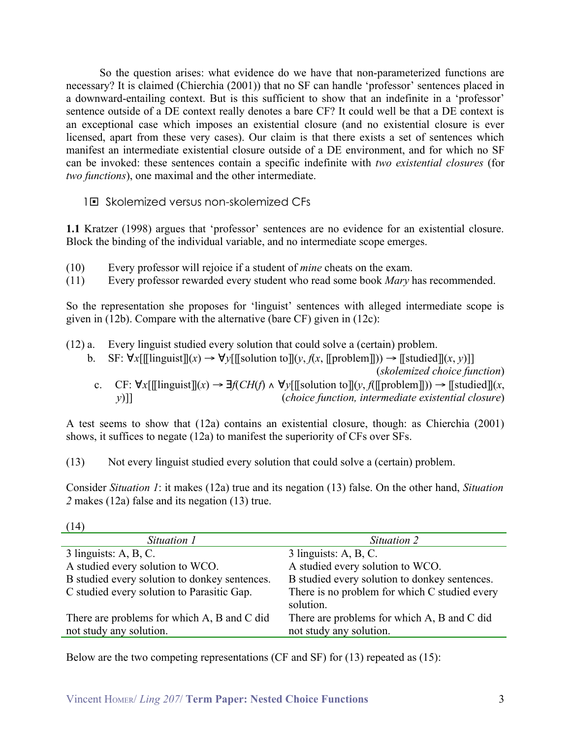So the question arises: what evidence do we have that non-parameterized functions are necessary? It is claimed (Chierchia (2001)) that no SF can handle 'professor' sentences placed in a downward-entailing context. But is this sufficient to show that an indefinite in a 'professor' sentence outside of a DE context really denotes a bare CF? It could well be that a DE context is an exceptional case which imposes an existential closure (and no existential closure is ever licensed, apart from these very cases). Our claim is that there exists a set of sentences which manifest an intermediate existential closure outside of a DE environment, and for which no SF can be invoked: these sentences contain a specific indefinite with two existential closures (for two functions), one maximal and the other intermediate.

1□ Skolemized versus non-skolemized CFs

1.1 Kratzer (1998) argues that 'professor' sentences are no evidence for an existential closure. Block the binding of the individual variable, and no intermediate scope emerges.

- Every professor will rejoice if a student of *mine* cheats on the exam.  $(10)$
- $(11)$ Every professor rewarded every student who read some book Mary has recommended.

So the representation she proposes for 'linguist' sentences with alleged intermediate scope is given in  $(12b)$ . Compare with the alternative (bare CF) given in  $(12c)$ :

- <span id="page-2-1"></span>(12) a. Every linguist studied every solution that could solve a (certain) problem.
	- b. SF:  $\forall x$ [[[linguist]](x)  $\rightarrow \forall y$ [[[solution to]](y,  $f(x,$  [[problem]]))  $\rightarrow$  [[studied]](x, y)]] (skolemized choice function) c. CF:  $\forall x$ [[[linguist]](x)  $\rightarrow \exists f$ (CH(f)  $\land \forall y$ [[[solution to]](y, f([[problem]]))  $\rightarrow$  [[studied]](x,
		- (choice function, intermediate existential closure)  $\nu$ )]]

A test seems to show that (12a) contains an existential closure, though: as Chierchia (2001) shows, it suffices to negate (12a) to manifest the superiority of CFs over SFs.

<span id="page-2-0"></span> $(13)$ Not every linguist studied every solution that could solve a (certain) problem.

Consider Situation 1: it makes (12a) true and its negation (13) false. On the other hand, Situation 2 makes (12a) false and its negation (13) true.

| (14)                                          |                                               |  |  |
|-----------------------------------------------|-----------------------------------------------|--|--|
| Situation 1                                   | Situation 2                                   |  |  |
| 3 linguists: A, B, C.                         | 3 linguists: $A, B, C$ .                      |  |  |
| A studied every solution to WCO.              | A studied every solution to WCO.              |  |  |
| B studied every solution to donkey sentences. | B studied every solution to donkey sentences. |  |  |
| C studied every solution to Parasitic Gap.    | There is no problem for which C studied every |  |  |
|                                               | solution.                                     |  |  |
| There are problems for which A, B and C did   | There are problems for which A, B and C did   |  |  |
| not study any solution.                       | not study any solution.                       |  |  |

 $(1.4)$ 

Below are the two competing representations (CF and SF) for  $(13)$  repeated as  $(15)$ :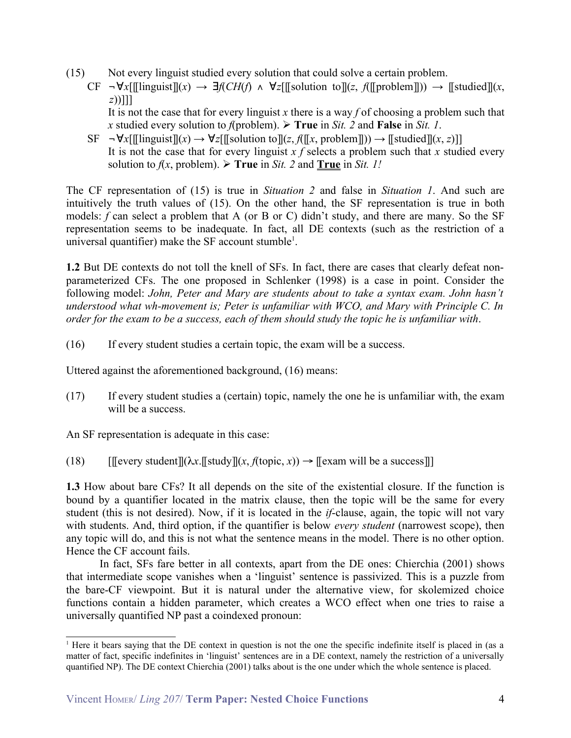<span id="page-3-1"></span> $(15)$ Not every linguist studied every solution that could solve a certain problem.

 $CF \rightarrow \forall x$ [[[linguist]](x)  $\rightarrow \exists f$ (CH(f)  $\land \forall z$ [[[solution to]](z, f([[problem]]))  $\rightarrow$  [[studied]](x,  $z$ ))]]]

It is not the case that for every linguist x there is a way f of choosing a problem such that x studied every solution to f(problem).  $\triangleright$  True in Sit. 2 and False in Sit. 1.

 $SF \rightarrow \forall x[\exists \text{linguist}](x) \rightarrow \forall z[\exists \text{solution to } \exists (z, \text{if } [x, \text{ problem }])) \rightarrow \exists \text{studied } \exists (x, z)]$ It is not the case that for every linguist x f selects a problem such that x studied every solution to  $f(x, problem)$ . > True in Sit. 2 and True in Sit. 1!

The CF representation of (15) is true in *Situation 2* and false in *Situation 1*. And such are intuitively the truth values of (15). On the other hand, the SF representation is true in both models: f can select a problem that A (or B or C) didn't study, and there are many. So the SF representation seems to be inadequate. In fact, all DE contexts (such as the restriction of a universal quantifier) make the SF account stumble<sup>1</sup>.

1.2 But DE contexts do not toll the knell of SFs. In fact, there are cases that clearly defeat nonparameterized CFs. The one proposed in Schlenker (1998) is a case in point. Consider the following model: John, Peter and Mary are students about to take a syntax exam. John hasn't understood what wh-movement is; Peter is unfamiliar with WCO, and Mary with Principle C. In order for the exam to be a success, each of them should study the topic he is unfamiliar with.

<span id="page-3-0"></span> $(16)$ If every student studies a certain topic, the exam will be a success.

Uttered against the aforementioned background, (16) means:

 $(17)$ If every student studies a (certain) topic, namely the one he is unfamiliar with, the exam will be a success

An SF representation is adequate in this case:

 $[[[every student]](\lambda x, [[study]](x, f(topic, x)) \rightarrow [[exam will be a success]])$  $(18)$ 

**1.3** How about bare CFs? It all depends on the site of the existential closure. If the function is bound by a quantifier located in the matrix clause, then the topic will be the same for every student (this is not desired). Now, if it is located in the *if*-clause, again, the topic will not vary with students. And, third option, if the quantifier is below *every student* (narrowest scope), then any topic will do, and this is not what the sentence means in the model. There is no other option. Hence the CF account fails.

In fact, SFs fare better in all contexts, apart from the DE ones: Chierchia (2001) shows that intermediate scope vanishes when a 'linguist' sentence is passivized. This is a puzzle from the bare-CF viewpoint. But it is natural under the alternative view, for skolemized choice functions contain a hidden parameter, which creates a WCO effect when one tries to raise a universally quantified NP past a coindexed pronoun:

<span id="page-3-2"></span><sup>&</sup>lt;sup>1</sup> Here it bears saying that the DE context in question is not the one the specific indefinite itself is placed in (as a matter of fact, specific indefinites in 'linguist' sentences are in a DE context, namely the restriction of a universally quantified NP). The DE context Chierchia (2001) talks about is the one under which the whole sentence is placed.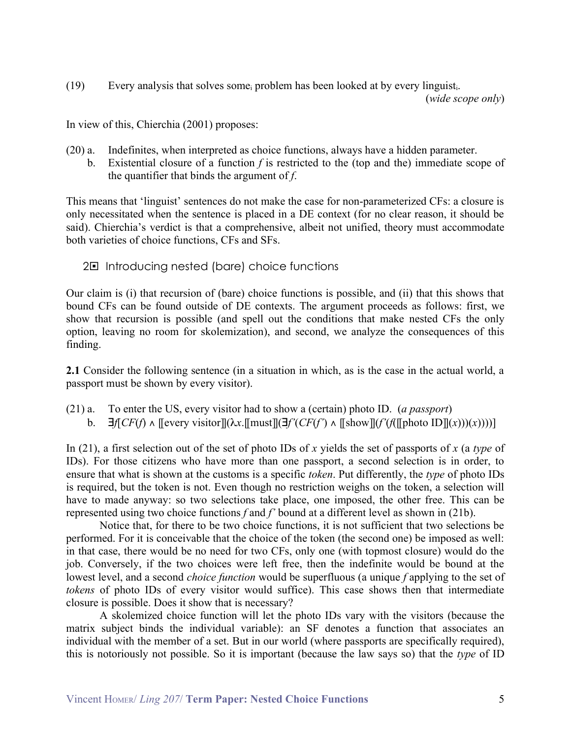$(19)$ Every analysis that solves some<sub>i</sub> problem has been looked at by every linguist.

 $(wide \; scope \; only)$ 

In view of this, Chierchia (2001) proposes:

- <span id="page-4-1"></span> $(20)$  a. Indefinities, when interpreted as choice functions, always have a hidden parameter.
	- b. Existential closure of a function  $f$  is restricted to the (top and the) immediate scope of the quantifier that binds the argument of  $f$ .

This means that 'linguist' sentences do not make the case for non-parameterized CFs: a closure is only necessitated when the sentence is placed in a DE context (for no clear reason, it should be said). Chierchia's verdict is that a comprehensive, albeit not unified, theory must accommodate both varieties of choice functions, CFs and SFs.

20 Introducing nested (bare) choice functions

Our claim is (i) that recursion of (bare) choice functions is possible, and (ii) that this shows that bound CFs can be found outside of DE contexts. The argument proceeds as follows: first, we show that recursion is possible (and spell out the conditions that make nested CFs the only option, leaving no room for skolemization), and second, we analyze the consequences of this finding.

2.1 Consider the following sentence (in a situation in which, as is the case in the actual world, a passport must be shown by every visitor).

- <span id="page-4-0"></span> $(21) a.$ To enter the US, every visitor had to show a (certain) photo ID. (a passport)
	- b.  $\exists f(CF(f) \land \exists y(CF(f)) \land \exists z(CF(f)) \land \exists z(CF(f')) \land \exists z(CF(f')) \land \exists z(CF(f')) \land \exists z(CF(f)) \land \exists z(CF(f)) \land \exists z(CF(f)) \land \exists z(CF(f)) \land \exists z(CF(f)) \land \exists z(CF(f)) \land \exists z(CF(f)) \land \exists z(CF(f)) \land \exists z(CF(f)) \land \exists z(CF(f)) \land \exists z(CF(f)) \land \exists z(CF(f)) \land \exists z(CF(f)) \land \exists z(CF(f)) \land \exists z(CF(f)) \land \exists z(CF(f)) \land \exists z(CF(f)) \land \exists z(CF(f)) \land \$

In (21), a first selection out of the set of photo IDs of x yields the set of passports of x (a type of IDs). For those citizens who have more than one passport, a second selection is in order, to ensure that what is shown at the customs is a specific *token*. Put differently, the *type* of photo IDs is required, but the token is not. Even though no restriction weighs on the token, a selection will have to made anyway: so two selections take place, one imposed, the other free. This can be represented using two choice functions f and f' bound at a different level as shown in  $(21b)$ .

Notice that, for there to be two choice functions, it is not sufficient that two selections be performed. For it is conceivable that the choice of the token (the second one) be imposed as well: in that case, there would be no need for two CFs, only one (with topmost closure) would do the job. Conversely, if the two choices were left free, then the indefinite would be bound at the lowest level, and a second *choice function* would be superfluous (a unique f applying to the set of tokens of photo IDs of every visitor would suffice). This case shows then that intermediate closure is possible. Does it show that is necessary?

A skolemized choice function will let the photo IDs vary with the visitors (because the matrix subject binds the individual variable): an SF denotes a function that associates an individual with the member of a set. But in our world (where passports are specifically required), this is notoriously not possible. So it is important (because the law says so) that the type of ID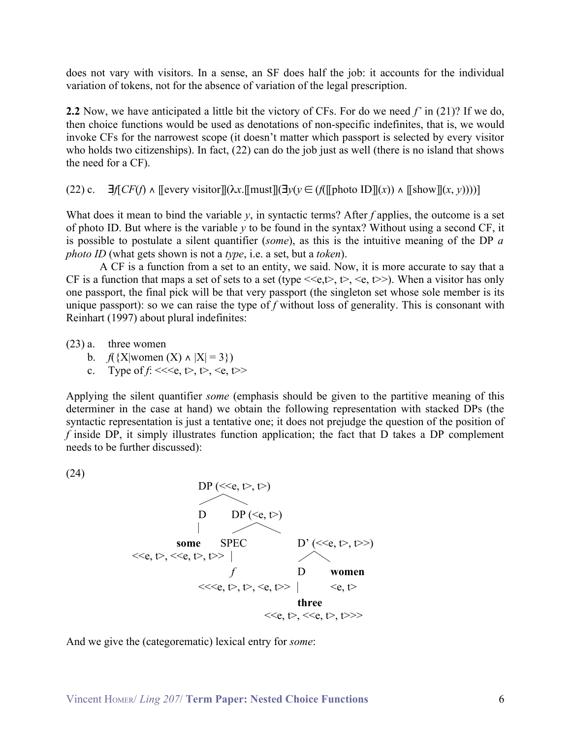does not vary with visitors. In a sense, an SF does half the job: it accounts for the individual variation of tokens, not for the absence of variation of the legal prescription.

2.2 Now, we have anticipated a little bit the victory of CFs. For do we need  $f'$  in (21)? If we do, then choice functions would be used as denotations of non-specific indefinites, that is, we would invoke CFs for the narrowest scope (it doesn't matter which passport is selected by every visitor who holds two citizenships). In fact, (22) can do the job just as well (there is no island that shows the need for a CF).

<span id="page-5-0"></span>(22) c.  $\exists f[CF(f) \land [[every \text{ visitor}]](\lambda x.[[must]](\exists y(y \in (f([[photo ID]](x)) \land [[show]](x, y))))]$ 

What does it mean to bind the variable  $y$ , in syntactic terms? After  $f$  applies, the outcome is a set of photo ID. But where is the variable  $y$  to be found in the syntax? Without using a second CF, it is possible to postulate a silent quantifier (some), as this is the intuitive meaning of the DP  $a$ *photo ID* (what gets shown is not a *type*, i.e. a set, but a *token*).

A CF is a function from a set to an entity, we said. Now, it is more accurate to say that a CF is a function that maps a set of sets to a set (type  $\leq e, t$ ),  $\geq$ ,  $\leq e, t$ ). When a visitor has only one passport, the final pick will be that very passport (the singleton set whose sole member is its unique passport): so we can raise the type of  $f$  without loss of generality. This is consonant with Reinhart (1997) about plural indefinites:

 $(23)$  a. three women

- b.  $f(X|women(X) \wedge |X| = 3)$
- c. Type of  $f \ll \ll e, \, t$ ,  $t$ ,  $\ll e, \, t$

Applying the silent quantifier *some* (emphasis should be given to the partitive meaning of this determiner in the case at hand) we obtain the following representation with stacked DPs (the syntactic representation is just a tentative one; it does not prejudge the question of the position of f inside DP, it simply illustrates function application; the fact that D takes a DP complement needs to be further discussed):





And we give the (categore matic) lexical entry for *some*: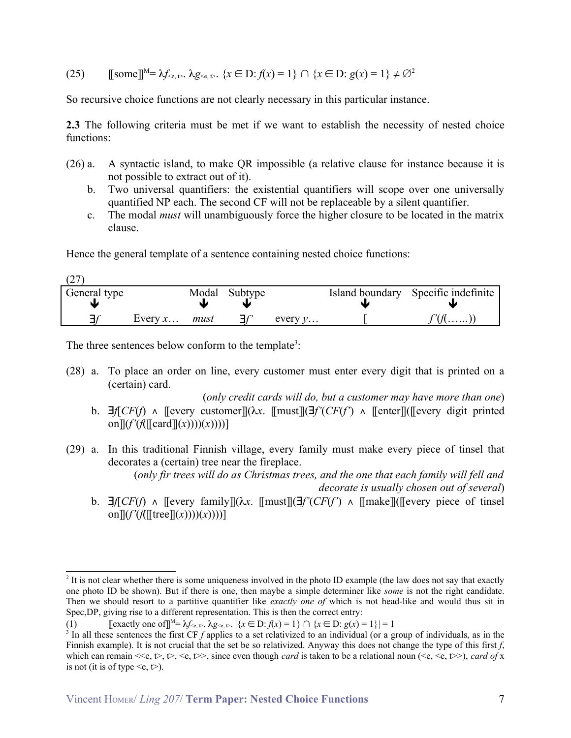$$
(25) \qquad \text{[some]} \mathbb{I}^{\mathsf{M}} = \lambda f_{\leq \mathsf{e}, \mathsf{t}^{\mathsf{S}}}. \ \lambda g_{\leq \mathsf{e}, \mathsf{t}^{\mathsf{S}}}. \ \{x \in \mathsf{D}: f(x) = 1\} \cap \{x \in \mathsf{D}: g(x) = 1\} \neq \emptyset^2
$$

So recursive choice functions are not clearly necessary in this particular instance.

2.3 The following criteria must be met if we want to establish the necessity of nested choice functions:

- $(26)$  a. A syntactic island, to make QR impossible (a relative clause for instance because it is not possible to extract out of it).
	- b. Two universal quantifiers: the existential quantifiers will scope over one universally quantified NP each. The second CF will not be replaceable by a silent quantifier.
	- The modal *must* will unambiguously force the higher closure to be located in the matrix  $c_{\cdot}$ clause

Hence the general template of a sentence containing nested choice functions:

| General type |                | Modal | Subtype     |                    | Island boundary Specific indefinite |
|--------------|----------------|-------|-------------|--------------------|-------------------------------------|
|              | Every $x$ must |       | $\exists f$ | every $v_{\cdots}$ | $\mathcal{C}(f(\ldots))$            |

The three sentences below conform to the template<sup>3</sup>:

 $\sim$   $\sim$ 

<span id="page-6-2"></span>(28) a. To place an order on line, every customer must enter every digit that is printed on a (certain) card.

(only credit cards will do, but a customer may have more than one)

- b. **Example 15** A Fevery customer  $\exists f$  ( $\lambda x$ . Figure  $\exists f$  ( $CF(f)$ )  $\land$  Figure  $\exists f$  (Fevery digit printed on  $\left[ \frac{f'(f(\left[ \operatorname{card} \right] \left[ x\right))))(x))}{f(x)} \right]$
- (29) a. In this traditional Finnish village, every family must make every piece of tinsel that decorates a (certain) tree near the fireplace. (only fir trees will do as Christmas trees, and the one that each family will fell and decorate is usually chosen out of several)
	- b.  $\exists f[CF(f) \land [every family](\lambda x. [must]](\exists f'(CF(f')) \land [make]]([every piece of tinsel])$ on  $\|(f'(f(\|tree \|(x))))(x))))\|$

<span id="page-6-0"></span><sup>&</sup>lt;sup>2</sup> It is not clear whether there is some uniqueness involved in the photo ID example (the law does not say that exactly one photo ID be shown). But if there is one, then maybe a simple determiner like *some* is not the right candidate. Then we should resort to a partitive quantifier like exactly one of which is not head-like and would thus sit in Spec, DP, giving rise to a different representation. This is then the correct entry:

<sup>[[</sup>exactly one of]]<sup>M</sup>= $\lambda f_{\leq e, t>1} \lambda g_{\leq e, t>}$ .  $|\{x \in D : f(x) = 1\} \cap \{x \in D : g(x) = 1\}| = 1$  $(1)$ 

<span id="page-6-1"></span> $\frac{3}{2}$  In all these sentences the first CF f applies to a set relativized to an individual (or a group of individuals, as in the Finnish example). It is not crucial that the set be so relativized. Anyway this does not change the type of this first  $f$ , which can remain <<e, t>, t>, <e, t>>, since even though *card* is taken to be a relational noun (<e, <e, t>>), *card of* x is not (it is of type  $\leq e, t$ ).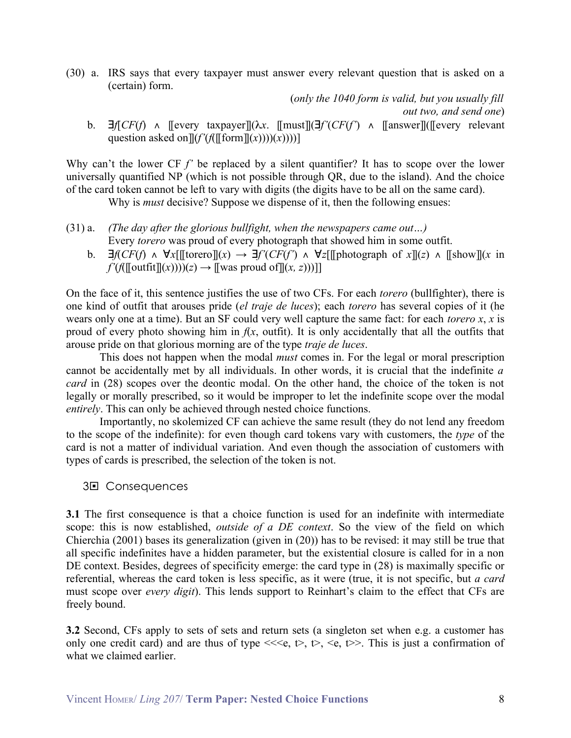(30) a. IRS says that every taxpayer must answer every relevant question that is asked on a (certain) form.

> (only the  $1040$  form is valid, but you usually fill out two, and send one)

b.  $\exists f$  (*CF(f)*  $\land$  [[every taxpayer]]( $\lambda x$ . [[must]]( $\exists f'$ (*CF(f')*  $\land$  [[answer]]([[every relevant] question asked on  $\|(f'(f(\|form\|(x))))(x)))\|$ 

Why can't the lower CF  $f'$  be replaced by a silent quantifier? It has to scope over the lower universally quantified NP (which is not possible through QR, due to the island). And the choice of the card token cannot be left to vary with digits (the digits have to be all on the same card).

Why is *must* decisive? Suppose we dispense of it, then the following ensues:

- $(31)$  a. (The day after the glorious bullfight, when the newspapers came out...) Every *torero* was proud of every photograph that showed him in some outfit.
	- b.  $\exists f(CF(f) \land \forall x[\exists \text{[tozero]}](x) \rightarrow \exists f'(CF(f')) \land \forall z[\exists \text{[photographic of } x](z) \land \exists \text{[show]}](x \text{ in})$  $f'(\widehat{f}(\lceil \text{outfit} \rceil(x))))(z) \rightarrow \lceil \text{was proud of} \rceil((x, z))$

On the face of it, this sentence justifies the use of two CFs. For each *torero* (bullfighter), there is one kind of outfit that arouses pride (el traje de luces); each torero has several copies of it (he wears only one at a time). But an SF could very well capture the same fact: for each *torero x, x* is proud of every photo showing him in  $f(x)$ , outfit). It is only accidentally that all the outfits that arouse pride on that glorious morning are of the type *traje de luces*.

This does not happen when the modal *must* comes in. For the legal or moral prescription cannot be accidentally met by all individuals. In other words, it is crucial that the indefinite a card in (28) scopes over the deontic modal. On the other hand, the choice of the token is not legally or morally prescribed, so it would be improper to let the indefinite scope over the modal *entirely*. This can only be achieved through nested choice functions.

Importantly, no skolemized CF can achieve the same result (they do not lend any freedom to the scope of the indefinite): for even though card tokens vary with customers, the type of the card is not a matter of individual variation. And even though the association of customers with types of cards is prescribed, the selection of the token is not.

3<sup>D</sup> Consequences

3.1 The first consequence is that a choice function is used for an indefinite with intermediate scope: this is now established, *outside of a DE context*. So the view of the field on which Chierchia (2001) bases its generalization (given in  $(20)$ ) has to be revised: it may still be true that all specific indefinites have a hidden parameter, but the existential closure is called for in a non DE context. Besides, degrees of specificity emerge: the card type in (28) is maximally specific or referential, whereas the card token is less specific, as it were (true, it is not specific, but a card must scope over *every digit*). This lends support to Reinhart's claim to the effect that CFs are freely bound.

3.2 Second, CFs apply to sets of sets and return sets (a singleton set when e.g. a customer has only one credit card) and are thus of type  $\ll\leq \epsilon$ ,  $\epsilon$ ,  $\epsilon$ ,  $\epsilon$ ,  $\epsilon$ . This is just a confirmation of what we claimed earlier.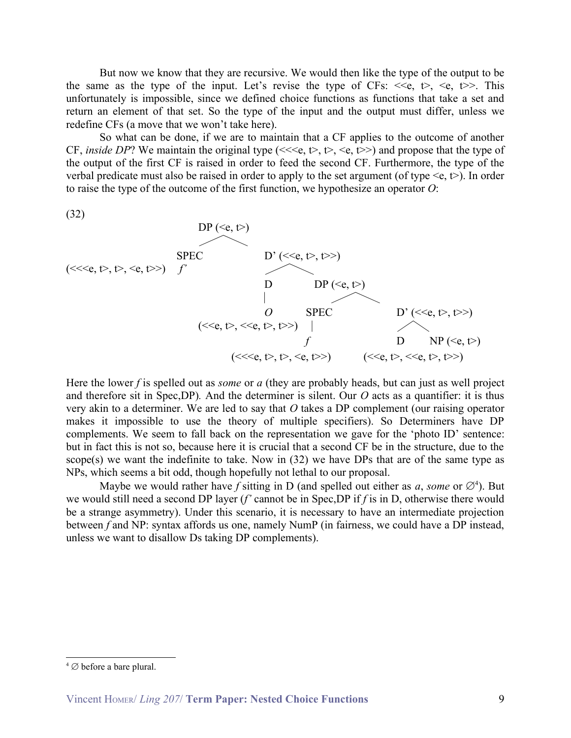But now we know that they are recursive. We would then like the type of the output to be the same as the type of the input. Let's revise the type of CFs:  $\leq e$ ,  $\geq$ ,  $\leq e$ ,  $\geq$ . This unfortunately is impossible, since we defined choice functions as functions that take a set and return an element of that set. So the type of the input and the output must differ, unless we redefine CFs (a move that we won't take here).

So what can be done, if we are to maintain that a CF applies to the outcome of another CF, inside DP? We maintain the original type (<<<e,  $\triangleright$ ,  $\triangleright$ ,  $\triangle$ ,  $\triangleright$ ,  $\triangle$ ,  $\triangleright$ ) and propose that the type of the output of the first CF is raised in order to feed the second CF. Furthermore, the type of the verbal predicate must also be raised in order to apply to the set argument (of type  $\leq e, \leq$ ). In order to raise the type of the outcome of the first function, we hypothesize an operator  $O$ :

<span id="page-8-0"></span>

Here the lower f is spelled out as *some* or a (they are probably heads, but can just as well project and therefore sit in Spec, DP). And the determiner is silent. Our  $O$  acts as a quantifier: it is thus very akin to a determiner. We are led to say that  $O$  takes a DP complement (our raising operator makes it impossible to use the theory of multiple specifiers). So Determiners have DP complements. We seem to fall back on the representation we gave for the 'photo ID' sentence: but in fact this is not so, because here it is crucial that a second CF be in the structure, due to the scope(s) we want the indefinite to take. Now in  $(32)$  we have DPs that are of the same type as NPs, which seems a bit odd, though hopefully not lethal to our proposal.

Maybe we would rather have f sitting in D (and spelled out either as a, some or  $\emptyset^4$ ). But we would still need a second DP layer ( $f'$  cannot be in Spec, DP if  $f$  is in D, otherwise there would be a strange asymmetry). Under this scenario, it is necessary to have an intermediate projection between f and NP: syntax affords us one, namely NumP (in fairness, we could have a DP instead, unless we want to disallow Ds taking DP complements).

<span id="page-8-1"></span> $\varnothing$  before a bare plural.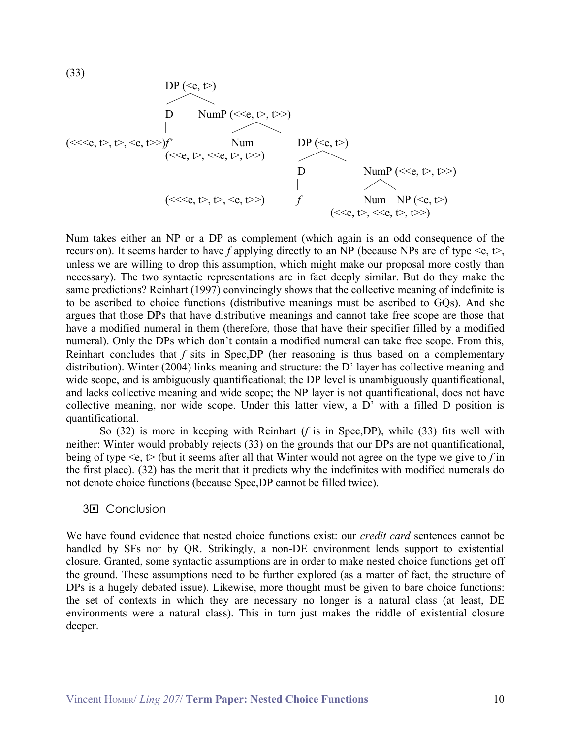$$
\text{DP}(\langle e, t \rangle) \\
\text{NumP}(\langle e, t \rangle, t \rangle) \\
\text{NumD}(\langle e, t \rangle, t \rangle) \\
\text{NumD}(\langle e, t \rangle, t \rangle) \\
\text{NumD}(\langle e, t \rangle, t \rangle) \\
\text{NumD}(\langle e, t \rangle, t \rangle) \\
\text{NumD}(\langle e, t \rangle, t \rangle) \\
\text{NumD}(\langle e, t \rangle, t \rangle) \\
\text{NumD}(\langle e, t \rangle, t \rangle) \\
\text{NumD}(\langle e, t \rangle, t \rangle) \\
\text{NumD}(\langle e, t \rangle, t \rangle) \\
\text{NumD}(\langle e, t \rangle, t \rangle) \\
\text{NumD}(\langle e, t \rangle, t \rangle) \\
\text{NumD}(\langle e, t \rangle, t \rangle) \\
\text{NumD}(\langle e, t \rangle, t \rangle) \\
\text{NumD}(\langle e, t \rangle, t \rangle) \\
\text{NumD}(\langle e, t \rangle, t \rangle) \\
\text{NumD}(\langle e, t \rangle, t \rangle) \\
\text{NumD}(\langle e, t \rangle, t \rangle) \\
\text{NumD}(\langle e, t \rangle, t \rangle) \\
\text{NumD}(\langle e, t \rangle, t \rangle) \\
\text{NumD}(\langle e, t \rangle, t \rangle) \\
\text{NumD}(\langle e, t \rangle, t \rangle) \\
\text{NumD}(\langle e, t \rangle, t \rangle) \\
\text{NumD}(\langle e, t \rangle, t \rangle) \\
\text{NumD}(\langle e, t \rangle, t \rangle) \\
\text{NumD}(\langle e, t \rangle, t \rangle) \\
\text{NumD}(\langle e, t \rangle, t \rangle) \\
\text{NumD}(\langle e, t \rangle, t \rangle) \\
\text{NumD}(\langle e, t \rangle, t \rangle) \\
\text{NumD}(\langle e, t \rangle, t \rangle) \\
\text{NumD}(\langle e, t \rangle, t \rangle) \\
\text{NumD}(\langle e, t \rangle, t \rangle) \\
\text{NumD}(\langle e, t \rangle, t \rangle) \\
\text{NumD}(\langle e, t \rangle, t \rangle) \\
\text{NumD}(\langle e, t \rangle, t \rangle) \\
\text{NumD}(\langle e, t \rangle, t \rangle) \\
\text{NumD}(\langle e, t \rangle, t \rangle) \\
\text{NumD}(\langle e, t \rangle, t \rangle) \\
\text{NumD}(\langle e, t \rangle, t \rangle) \\
\text{NumD
$$

Num takes either an NP or a DP as complement (which again is an odd consequence of the recursion). It seems harder to have f applying directly to an NP (because NPs are of type  $\leq e$ ,  $\triangleright$ , unless we are willing to drop this assumption, which might make our proposal more costly than necessary). The two syntactic representations are in fact deeply similar. But do they make the same predictions? Reinhart (1997) convincingly shows that the collective meaning of indefinite is to be ascribed to choice functions (distributive meanings must be ascribed to GQs). And she argues that those DPs that have distributive meanings and cannot take free scope are those that have a modified numeral in them (therefore, those that have their specifier filled by a modified numeral). Only the DPs which don't contain a modified numeral can take free scope. From this, Reinhart concludes that  $f$  sits in Spec, DP (her reasoning is thus based on a complementary distribution). Winter (2004) links meaning and structure: the D' layer has collective meaning and wide scope, and is ambiguously quantificational; the DP level is unambiguously quantificational, and lacks collective meaning and wide scope; the NP layer is not quantificational, does not have collective meaning, nor wide scope. Under this latter view, a D' with a filled D position is quantificational.

So  $(32)$  is more in keeping with Reinhart (*f* is in Spec, DP), while  $(33)$  fits well with neither: Winter would probably rejects (33) on the grounds that our DPs are not quantificational, being of type  $\leq e$ ,  $t$  (but it seems after all that Winter would not agree on the type we give to f in the first place). (32) has the merit that it predicts why the indefinites with modified numerals do not denote choice functions (because Spec, DP cannot be filled twice).

## 3FL Conclusion

<span id="page-9-0"></span> $(33)$ 

We have found evidence that nested choice functions exist: our *credit card* sentences cannot be handled by SFs nor by QR. Strikingly, a non-DE environment lends support to existential closure. Granted, some syntactic assumptions are in order to make nested choice functions get off the ground. These assumptions need to be further explored (as a matter of fact, the structure of DPs is a hugely debated issue). Likewise, more thought must be given to bare choice functions: the set of contexts in which they are necessary no longer is a natural class (at least, DE environments were a natural class). This in turn just makes the riddle of existential closure deeper.